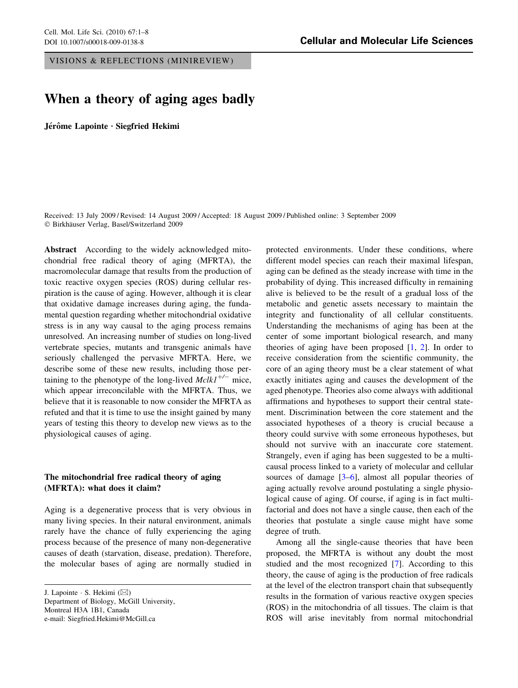VISIONS & REFLECTIONS (MINIREVIEW)

# When a theory of aging ages badly

Jérôme Lapointe · Siegfried Hekimi

Received: 13 July 2009 / Revised: 14 August 2009 / Accepted: 18 August 2009 / Published online: 3 September 2009  $© Birkhäuser Verlag, Basel/Switzerland 2009$ 

Abstract According to the widely acknowledged mitochondrial free radical theory of aging (MFRTA), the macromolecular damage that results from the production of toxic reactive oxygen species (ROS) during cellular respiration is the cause of aging. However, although it is clear that oxidative damage increases during aging, the fundamental question regarding whether mitochondrial oxidative stress is in any way causal to the aging process remains unresolved. An increasing number of studies on long-lived vertebrate species, mutants and transgenic animals have seriously challenged the pervasive MFRTA. Here, we describe some of these new results, including those pertaining to the phenotype of the long-lived  $Mclk1^{+/-}$  mice, which appear irreconcilable with the MFRTA. Thus, we believe that it is reasonable to now consider the MFRTA as refuted and that it is time to use the insight gained by many years of testing this theory to develop new views as to the physiological causes of aging.

## The mitochondrial free radical theory of aging (MFRTA): what does it claim?

Aging is a degenerative process that is very obvious in many living species. In their natural environment, animals rarely have the chance of fully experiencing the aging process because of the presence of many non-degenerative causes of death (starvation, disease, predation). Therefore, the molecular bases of aging are normally studied in

J. Lapointe  $\cdot$  S. Hekimi ( $\boxtimes$ ) Department of Biology, McGill University, Montreal H3A 1B1, Canada e-mail: Siegfried.Hekimi@McGill.ca

protected environments. Under these conditions, where different model species can reach their maximal lifespan, aging can be defined as the steady increase with time in the probability of dying. This increased difficulty in remaining alive is believed to be the result of a gradual loss of the metabolic and genetic assets necessary to maintain the integrity and functionality of all cellular constituents. Understanding the mechanisms of aging has been at the center of some important biological research, and many theories of aging have been proposed  $[1, 2]$  $[1, 2]$  $[1, 2]$  $[1, 2]$  $[1, 2]$ . In order to receive consideration from the scientific community, the core of an aging theory must be a clear statement of what exactly initiates aging and causes the development of the aged phenotype. Theories also come always with additional affirmations and hypotheses to support their central statement. Discrimination between the core statement and the associated hypotheses of a theory is crucial because a theory could survive with some erroneous hypotheses, but should not survive with an inaccurate core statement. Strangely, even if aging has been suggested to be a multicausal process linked to a variety of molecular and cellular sources of damage  $[3-6]$ , almost all popular theories of aging actually revolve around postulating a single physiological cause of aging. Of course, if aging is in fact multifactorial and does not have a single cause, then each of the theories that postulate a single cause might have some degree of truth.

Among all the single-cause theories that have been proposed, the MFRTA is without any doubt the most studied and the most recognized [[7\]](#page-5-0). According to this theory, the cause of aging is the production of free radicals at the level of the electron transport chain that subsequently results in the formation of various reactive oxygen species (ROS) in the mitochondria of all tissues. The claim is that ROS will arise inevitably from normal mitochondrial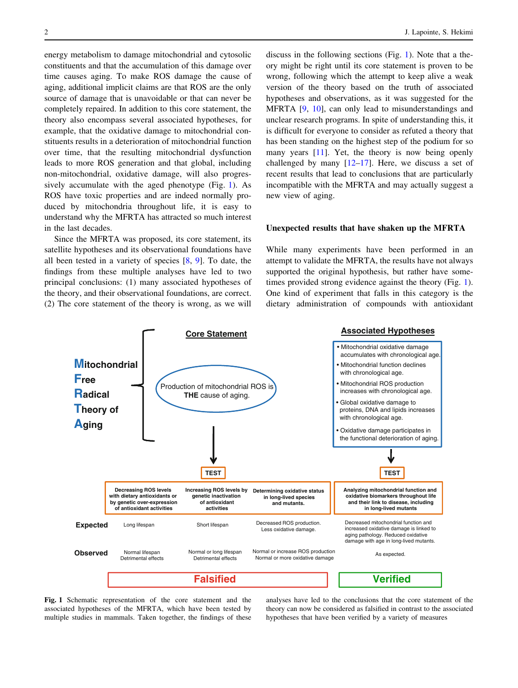<span id="page-1-0"></span>energy metabolism to damage mitochondrial and cytosolic constituents and that the accumulation of this damage over time causes aging. To make ROS damage the cause of aging, additional implicit claims are that ROS are the only source of damage that is unavoidable or that can never be completely repaired. In addition to this core statement, the theory also encompass several associated hypotheses, for example, that the oxidative damage to mitochondrial constituents results in a deterioration of mitochondrial function over time, that the resulting mitochondrial dysfunction leads to more ROS generation and that global, including non-mitochondrial, oxidative damage, will also progressively accumulate with the aged phenotype (Fig. 1). As ROS have toxic properties and are indeed normally produced by mitochondria throughout life, it is easy to understand why the MFRTA has attracted so much interest in the last decades.

Since the MFRTA was proposed, its core statement, its satellite hypotheses and its observational foundations have all been tested in a variety of species [[8](#page-5-0), [9\]](#page-5-0). To date, the findings from these multiple analyses have led to two principal conclusions: (1) many associated hypotheses of the theory, and their observational foundations, are correct. (2) The core statement of the theory is wrong, as we will discuss in the following sections (Fig. 1). Note that a theory might be right until its core statement is proven to be wrong, following which the attempt to keep alive a weak version of the theory based on the truth of associated hypotheses and observations, as it was suggested for the MFRTA [[9,](#page-5-0) [10](#page-5-0)], can only lead to misunderstandings and unclear research programs. In spite of understanding this, it is difficult for everyone to consider as refuted a theory that has been standing on the highest step of the podium for so many years [\[11](#page-5-0)]. Yet, the theory is now being openly challenged by many  $[12-17]$  $[12-17]$ . Here, we discuss a set of recent results that lead to conclusions that are particularly incompatible with the MFRTA and may actually suggest a new view of aging.

### Unexpected results that have shaken up the MFRTA

While many experiments have been performed in an attempt to validate the MFRTA, the results have not always supported the original hypothesis, but rather have sometimes provided strong evidence against the theory (Fig. 1). One kind of experiment that falls in this category is the dietary administration of compounds with antioxidant



Fig. 1 Schematic representation of the core statement and the associated hypotheses of the MFRTA, which have been tested by multiple studies in mammals. Taken together, the findings of these

analyses have led to the conclusions that the core statement of the theory can now be considered as falsified in contrast to the associated hypotheses that have been verified by a variety of measures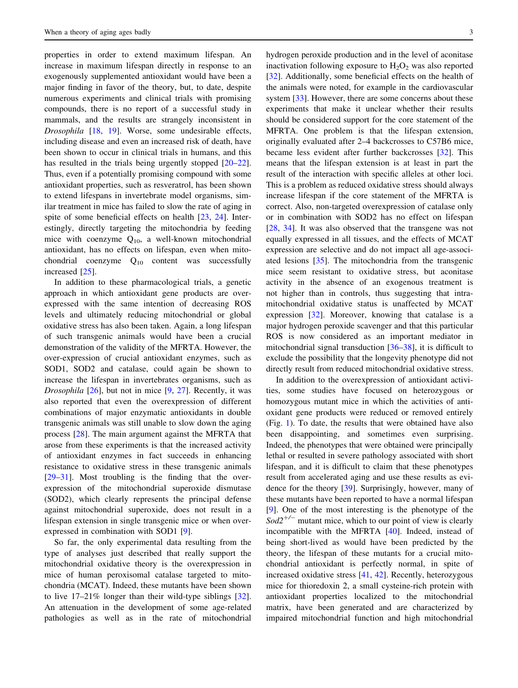properties in order to extend maximum lifespan. An increase in maximum lifespan directly in response to an exogenously supplemented antioxidant would have been a major finding in favor of the theory, but, to date, despite numerous experiments and clinical trials with promising compounds, there is no report of a successful study in mammals, and the results are strangely inconsistent in Drosophila [[18,](#page-6-0) [19](#page-6-0)]. Worse, some undesirable effects, including disease and even an increased risk of death, have been shown to occur in clinical trials in humans, and this has resulted in the trials being urgently stopped  $[20-22]$ . Thus, even if a potentially promising compound with some antioxidant properties, such as resveratrol, has been shown to extend lifespans in invertebrate model organisms, similar treatment in mice has failed to slow the rate of aging in spite of some beneficial effects on health [[23,](#page-6-0) [24](#page-6-0)]. Interestingly, directly targeting the mitochondria by feeding mice with coenzyme  $Q_{10}$ , a well-known mitochondrial antioxidant, has no effects on lifespan, even when mitochondrial coenzyme  $Q_{10}$  content was successfully increased [[25\]](#page-6-0).

In addition to these pharmacological trials, a genetic approach in which antioxidant gene products are overexpressed with the same intention of decreasing ROS levels and ultimately reducing mitochondrial or global oxidative stress has also been taken. Again, a long lifespan of such transgenic animals would have been a crucial demonstration of the validity of the MFRTA. However, the over-expression of crucial antioxidant enzymes, such as SOD1, SOD2 and catalase, could again be shown to increase the lifespan in invertebrates organisms, such as *Drosophila*  $[26]$  $[26]$ , but not in mice  $[9, 27]$  $[9, 27]$  $[9, 27]$  $[9, 27]$ . Recently, it was also reported that even the overexpression of different combinations of major enzymatic antioxidants in double transgenic animals was still unable to slow down the aging process [\[28](#page-6-0)]. The main argument against the MFRTA that arose from these experiments is that the increased activity of antioxidant enzymes in fact succeeds in enhancing resistance to oxidative stress in these transgenic animals [\[29–31](#page-6-0)]. Most troubling is the finding that the overexpression of the mitochondrial superoxide dismutase (SOD2), which clearly represents the principal defense against mitochondrial superoxide, does not result in a lifespan extension in single transgenic mice or when overexpressed in combination with SOD1 [[9\]](#page-5-0).

So far, the only experimental data resulting from the type of analyses just described that really support the mitochondrial oxidative theory is the overexpression in mice of human peroxisomal catalase targeted to mitochondria (MCAT). Indeed, these mutants have been shown to live 17–21% longer than their wild-type siblings [\[32](#page-6-0)]. An attenuation in the development of some age-related pathologies as well as in the rate of mitochondrial hydrogen peroxide production and in the level of aconitase inactivation following exposure to  $H_2O_2$  was also reported [\[32](#page-6-0)]. Additionally, some beneficial effects on the health of the animals were noted, for example in the cardiovascular system [[33\]](#page-6-0). However, there are some concerns about these experiments that make it unclear whether their results should be considered support for the core statement of the MFRTA. One problem is that the lifespan extension, originally evaluated after 2–4 backcrosses to C57B6 mice, became less evident after further backcrosses [\[32\]](#page-6-0). This means that the lifespan extension is at least in part the result of the interaction with specific alleles at other loci. This is a problem as reduced oxidative stress should always increase lifespan if the core statement of the MFRTA is correct. Also, non-targeted overexpression of catalase only or in combination with SOD2 has no effect on lifespan [\[28](#page-6-0), [34\]](#page-6-0). It was also observed that the transgene was not equally expressed in all tissues, and the effects of MCAT expression are selective and do not impact all age-associated lesions [\[35](#page-6-0)]. The mitochondria from the transgenic mice seem resistant to oxidative stress, but aconitase activity in the absence of an exogenous treatment is not higher than in controls, thus suggesting that intramitochondrial oxidative status is unaffected by MCAT expression [\[32](#page-6-0)]. Moreover, knowing that catalase is a major hydrogen peroxide scavenger and that this particular ROS is now considered as an important mediator in mitochondrial signal transduction [[36–38\]](#page-6-0), it is difficult to exclude the possibility that the longevity phenotype did not directly result from reduced mitochondrial oxidative stress.

In addition to the overexpression of antioxidant activities, some studies have focused on heterozygous or homozygous mutant mice in which the activities of antioxidant gene products were reduced or removed entirely (Fig. [1\)](#page-1-0). To date, the results that were obtained have also been disappointing, and sometimes even surprising. Indeed, the phenotypes that were obtained were principally lethal or resulted in severe pathology associated with short lifespan, and it is difficult to claim that these phenotypes result from accelerated aging and use these results as evidence for the theory [[39\]](#page-6-0). Surprisingly, however, many of these mutants have been reported to have a normal lifespan [\[9](#page-5-0)]. One of the most interesting is the phenotype of the  $Sod2^{+/-}$  mutant mice, which to our point of view is clearly incompatible with the MFRTA [[40\]](#page-6-0). Indeed, instead of being short-lived as would have been predicted by the theory, the lifespan of these mutants for a crucial mitochondrial antioxidant is perfectly normal, in spite of increased oxidative stress [[41,](#page-6-0) [42](#page-6-0)]. Recently, heterozygous mice for thioredoxin 2, a small cysteine-rich protein with antioxidant properties localized to the mitochondrial matrix, have been generated and are characterized by impaired mitochondrial function and high mitochondrial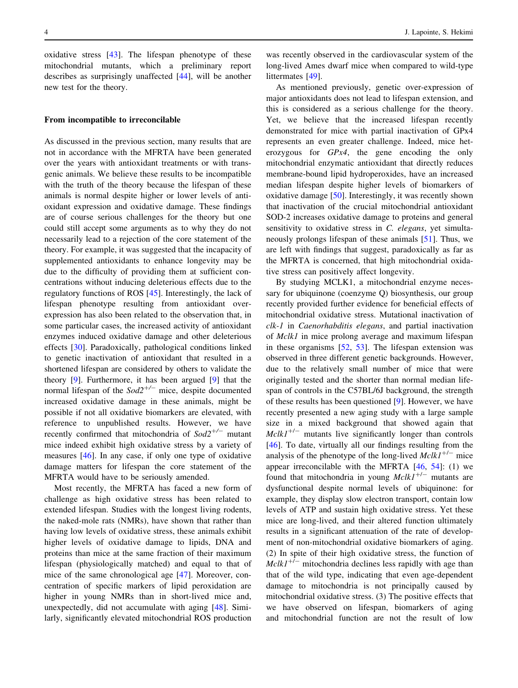oxidative stress [[43\]](#page-6-0). The lifespan phenotype of these mitochondrial mutants, which a preliminary report describes as surprisingly unaffected [\[44](#page-6-0)], will be another new test for the theory.

#### From incompatible to irreconcilable

As discussed in the previous section, many results that are not in accordance with the MFRTA have been generated over the years with antioxidant treatments or with transgenic animals. We believe these results to be incompatible with the truth of the theory because the lifespan of these animals is normal despite higher or lower levels of antioxidant expression and oxidative damage. These findings are of course serious challenges for the theory but one could still accept some arguments as to why they do not necessarily lead to a rejection of the core statement of the theory. For example, it was suggested that the incapacity of supplemented antioxidants to enhance longevity may be due to the difficulty of providing them at sufficient concentrations without inducing deleterious effects due to the regulatory functions of ROS [[45\]](#page-6-0). Interestingly, the lack of lifespan phenotype resulting from antioxidant overexpression has also been related to the observation that, in some particular cases, the increased activity of antioxidant enzymes induced oxidative damage and other deleterious effects [[30\]](#page-6-0). Paradoxically, pathological conditions linked to genetic inactivation of antioxidant that resulted in a shortened lifespan are considered by others to validate the theory [[9\]](#page-5-0). Furthermore, it has been argued [\[9](#page-5-0)] that the normal lifespan of the  $Sod2^{+/-}$  mice, despite documented increased oxidative damage in these animals, might be possible if not all oxidative biomarkers are elevated, with reference to unpublished results. However, we have recently confirmed that mitochondria of  $Sod2^{+/-}$  mutant mice indeed exhibit high oxidative stress by a variety of measures [\[46](#page-6-0)]. In any case, if only one type of oxidative damage matters for lifespan the core statement of the MFRTA would have to be seriously amended.

Most recently, the MFRTA has faced a new form of challenge as high oxidative stress has been related to extended lifespan. Studies with the longest living rodents, the naked-mole rats (NMRs), have shown that rather than having low levels of oxidative stress, these animals exhibit higher levels of oxidative damage to lipids, DNA and proteins than mice at the same fraction of their maximum lifespan (physiologically matched) and equal to that of mice of the same chronological age [\[47](#page-6-0)]. Moreover, concentration of specific markers of lipid peroxidation are higher in young NMRs than in short-lived mice and, unexpectedly, did not accumulate with aging [[48\]](#page-7-0). Similarly, significantly elevated mitochondrial ROS production

was recently observed in the cardiovascular system of the long-lived Ames dwarf mice when compared to wild-type littermates [\[49](#page-7-0)].

As mentioned previously, genetic over-expression of major antioxidants does not lead to lifespan extension, and this is considered as a serious challenge for the theory. Yet, we believe that the increased lifespan recently demonstrated for mice with partial inactivation of GPx4 represents an even greater challenge. Indeed, mice heterozygous for GPx4, the gene encoding the only mitochondrial enzymatic antioxidant that directly reduces membrane-bound lipid hydroperoxides, have an increased median lifespan despite higher levels of biomarkers of oxidative damage [\[50](#page-7-0)]. Interestingly, it was recently shown that inactivation of the crucial mitochondrial antioxidant SOD-2 increases oxidative damage to proteins and general sensitivity to oxidative stress in C. elegans, yet simultaneously prolongs lifespan of these animals [[51\]](#page-7-0). Thus, we are left with findings that suggest, paradoxically as far as the MFRTA is concerned, that high mitochondrial oxidative stress can positively affect longevity.

By studying MCLK1, a mitochondrial enzyme necessary for ubiquinone (coenzyme Q) biosynthesis, our group recently provided further evidence for beneficial effects of mitochondrial oxidative stress. Mutational inactivation of clk-1 in Caenorhabditis elegans, and partial inactivation of Mclk1 in mice prolong average and maximum lifespan in these organisms [\[52](#page-7-0), [53](#page-7-0)]. The lifespan extension was observed in three different genetic backgrounds. However, due to the relatively small number of mice that were originally tested and the shorter than normal median lifespan of controls in the C57BL/6J background, the strength of these results has been questioned [[9\]](#page-5-0). However, we have recently presented a new aging study with a large sample size in a mixed background that showed again that  $Mclk1^{+/-}$  mutants live significantly longer than controls [\[46](#page-6-0)]. To date, virtually all our findings resulting from the analysis of the phenotype of the long-lived  $Mclk1^{+/-}$  mice appear irreconcilable with the MFRTA [[46,](#page-6-0) [54\]](#page-7-0): (1) we found that mitochondria in young  $Mclk1^{+/-}$  mutants are dysfunctional despite normal levels of ubiquinone: for example, they display slow electron transport, contain low levels of ATP and sustain high oxidative stress. Yet these mice are long-lived, and their altered function ultimately results in a significant attenuation of the rate of development of non-mitochondrial oxidative biomarkers of aging. (2) In spite of their high oxidative stress, the function of  $Mclk1<sup>+/-</sup>$  mitochondria declines less rapidly with age than that of the wild type, indicating that even age-dependent damage to mitochondria is not principally caused by mitochondrial oxidative stress. (3) The positive effects that we have observed on lifespan, biomarkers of aging and mitochondrial function are not the result of low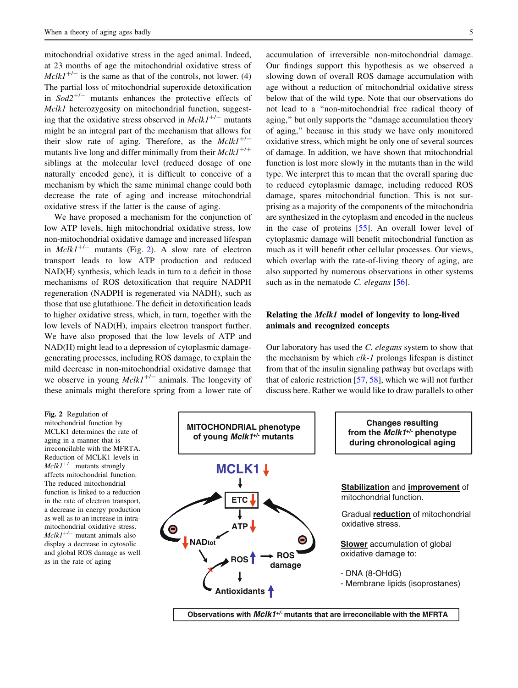mitochondrial oxidative stress in the aged animal. Indeed, at 23 months of age the mitochondrial oxidative stress of  $Mclk1^{+/-}$  is the same as that of the controls, not lower. (4) The partial loss of mitochondrial superoxide detoxification in  $Sod2^{+/-}$  mutants enhances the protective effects of Mclk1 heterozygosity on mitochondrial function, suggesting that the oxidative stress observed in  $Mclk1^{+/-}$  mutants might be an integral part of the mechanism that allows for their slow rate of aging. Therefore, as the  $Mclk1^{+/-}$ mutants live long and differ minimally from their  $Mclk1^{+/+}$ siblings at the molecular level (reduced dosage of one naturally encoded gene), it is difficult to conceive of a mechanism by which the same minimal change could both decrease the rate of aging and increase mitochondrial oxidative stress if the latter is the cause of aging.

We have proposed a mechanism for the conjunction of low ATP levels, high mitochondrial oxidative stress, low non-mitochondrial oxidative damage and increased lifespan in  $Mclk1^{+/-}$  mutants (Fig. 2). A slow rate of electron transport leads to low ATP production and reduced NAD(H) synthesis, which leads in turn to a deficit in those mechanisms of ROS detoxification that require NADPH regeneration (NADPH is regenerated via NADH), such as those that use glutathione. The deficit in detoxification leads to higher oxidative stress, which, in turn, together with the low levels of NAD(H), impairs electron transport further. We have also proposed that the low levels of ATP and NAD(H) might lead to a depression of cytoplasmic damagegenerating processes, including ROS damage, to explain the mild decrease in non-mitochondrial oxidative damage that we observe in young  $Mclk1^{+/-}$  animals. The longevity of these animals might therefore spring from a lower rate of

accumulation of irreversible non-mitochondrial damage. Our findings support this hypothesis as we observed a slowing down of overall ROS damage accumulation with age without a reduction of mitochondrial oxidative stress below that of the wild type. Note that our observations do not lead to a ''non-mitochondrial free radical theory of aging,'' but only supports the ''damage accumulation theory of aging,'' because in this study we have only monitored oxidative stress, which might be only one of several sources of damage. In addition, we have shown that mitochondrial function is lost more slowly in the mutants than in the wild type. We interpret this to mean that the overall sparing due to reduced cytoplasmic damage, including reduced ROS damage, spares mitochondrial function. This is not surprising as a majority of the components of the mitochondria are synthesized in the cytoplasm and encoded in the nucleus in the case of proteins [[55\]](#page-7-0). An overall lower level of cytoplasmic damage will benefit mitochondrial function as much as it will benefit other cellular processes. Our views, which overlap with the rate-of-living theory of aging, are also supported by numerous observations in other systems such as in the nematode C. elegans  $[56]$  $[56]$ .

## Relating the Mclk1 model of longevity to long-lived animals and recognized concepts

Our laboratory has used the C. elegans system to show that the mechanism by which clk-1 prolongs lifespan is distinct from that of the insulin signaling pathway but overlaps with that of caloric restriction [\[57](#page-7-0), [58](#page-7-0)], which we will not further discuss here. Rather we would like to draw parallels to other

Fig. 2 Regulation of mitochondrial function by MCLK1 determines the rate of aging in a manner that is irreconcilable with the MFRTA. Reduction of MCLK1 levels in  $Mclkl^{+/-}$  mutants strongly affects mitochondrial function. The reduced mitochondrial function is linked to a reduction in the rate of electron transport, a decrease in energy production as well as to an increase in intramitochondrial oxidative stress.  $MclkI^{+/-}$  mutant animals also display a decrease in cytosolic and global ROS damage as well as in the rate of aging

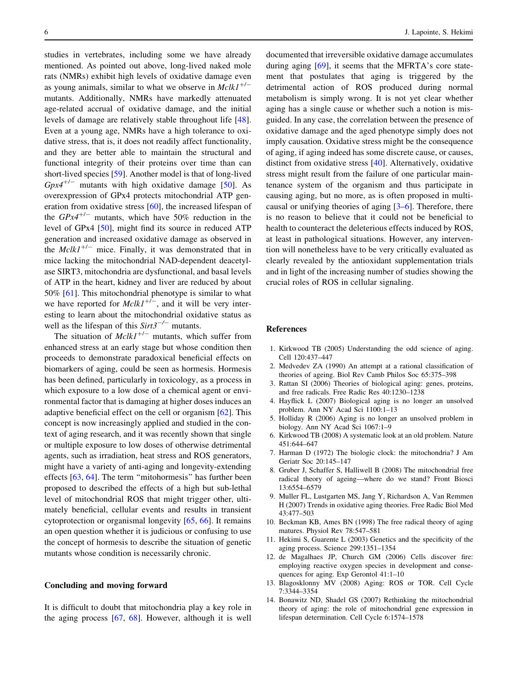<span id="page-5-0"></span>studies in vertebrates, including some we have already mentioned. As pointed out above, long-lived naked mole rats (NMRs) exhibit high levels of oxidative damage even as young animals, similar to what we observe in  $Mclk1^{+/-}$ mutants. Additionally, NMRs have markedly attenuated age-related accrual of oxidative damage, and the initial levels of damage are relatively stable throughout life [\[48](#page-7-0)]. Even at a young age, NMRs have a high tolerance to oxidative stress, that is, it does not readily affect functionality, and they are better able to maintain the structural and functional integrity of their proteins over time than can short-lived species [\[59\]](#page-7-0). Another model is that of long-lived  $Gpx4^{+/-}$  mutants with high oxidative damage [\[50](#page-7-0)]. As overexpression of GPx4 protects mitochondrial ATP generation from oxidative stress [\[60](#page-7-0)], the increased lifespan of the  $GPx4^{+/-}$  mutants, which have 50% reduction in the level of GPx4 [[50\]](#page-7-0), might find its source in reduced ATP generation and increased oxidative damage as observed in the  $Mclk1^{+/-}$  mice. Finally, it was demonstrated that in mice lacking the mitochondrial NAD-dependent deacetylase SIRT3, mitochondria are dysfunctional, and basal levels of ATP in the heart, kidney and liver are reduced by about 50% [[61\]](#page-7-0). This mitochondrial phenotype is similar to what we have reported for  $Mclk1^{+/-}$ , and it will be very interesting to learn about the mitochondrial oxidative status as well as the lifespan of this  $Sirt3^{-/-}$  mutants.

The situation of  $MckI^{+/-}$  mutants, which suffer from enhanced stress at an early stage but whose condition then proceeds to demonstrate paradoxical beneficial effects on biomarkers of aging, could be seen as hormesis. Hormesis has been defined, particularly in toxicology, as a process in which exposure to a low dose of a chemical agent or environmental factor that is damaging at higher doses induces an adaptive beneficial effect on the cell or organism [[62\]](#page-7-0). This concept is now increasingly applied and studied in the context of aging research, and it was recently shown that single or multiple exposure to low doses of otherwise detrimental agents, such as irradiation, heat stress and ROS generators, might have a variety of anti-aging and longevity-extending effects [[63,](#page-7-0) [64\]](#page-7-0). The term ''mitohormesis'' has further been proposed to described the effects of a high but sub-lethal level of mitochondrial ROS that might trigger other, ultimately beneficial, cellular events and results in transient cytoprotection or organismal longevity [\[65](#page-7-0), [66\]](#page-7-0). It remains an open question whether it is judicious or confusing to use the concept of hormesis to describe the situation of genetic mutants whose condition is necessarily chronic.

#### Concluding and moving forward

It is difficult to doubt that mitochondria play a key role in the aging process [[67,](#page-7-0) [68](#page-7-0)]. However, although it is well documented that irreversible oxidative damage accumulates during aging [\[69](#page-7-0)], it seems that the MFRTA's core statement that postulates that aging is triggered by the detrimental action of ROS produced during normal metabolism is simply wrong. It is not yet clear whether aging has a single cause or whether such a notion is misguided. In any case, the correlation between the presence of oxidative damage and the aged phenotype simply does not imply causation. Oxidative stress might be the consequence of aging, if aging indeed has some discrete cause, or causes, distinct from oxidative stress [[40\]](#page-6-0). Alternatively, oxidative stress might result from the failure of one particular maintenance system of the organism and thus participate in causing aging, but no more, as is often proposed in multicausal or unifying theories of aging [3–6]. Therefore, there is no reason to believe that it could not be beneficial to health to counteract the deleterious effects induced by ROS, at least in pathological situations. However, any intervention will nonetheless have to be very critically evaluated as clearly revealed by the antioxidant supplementation trials and in light of the increasing number of studies showing the crucial roles of ROS in cellular signaling.

#### References

- 1. Kirkwood TB (2005) Understanding the odd science of aging. Cell 120:437–447
- 2. Medvedev ZA (1990) An attempt at a rational classification of theories of ageing. Biol Rev Camb Philos Soc 65:375–398
- 3. Rattan SI (2006) Theories of biological aging: genes, proteins, and free radicals. Free Radic Res 40:1230–1238
- 4. Hayflick L (2007) Biological aging is no longer an unsolved problem. Ann NY Acad Sci 1100:1–13
- 5. Holliday R (2006) Aging is no longer an unsolved problem in biology. Ann NY Acad Sci 1067:1–9
- 6. Kirkwood TB (2008) A systematic look at an old problem. Nature 451:644–647
- 7. Harman D (1972) The biologic clock: the mitochondria? J Am Geriatr Soc 20:145–147
- 8. Gruber J, Schaffer S, Halliwell B (2008) The mitochondrial free radical theory of ageing—where do we stand? Front Biosci 13:6554–6579
- 9. Muller FL, Lustgarten MS, Jang Y, Richardson A, Van Remmen H (2007) Trends in oxidative aging theories. Free Radic Biol Med 43:477–503
- 10. Beckman KB, Ames BN (1998) The free radical theory of aging matures. Physiol Rev 78:547–581
- 11. Hekimi S, Guarente L (2003) Genetics and the specificity of the aging process. Science 299:1351–1354
- 12. de Magalhaes JP, Church GM (2006) Cells discover fire: employing reactive oxygen species in development and consequences for aging. Exp Gerontol 41:1–10
- 13. Blagosklonny MV (2008) Aging: ROS or TOR. Cell Cycle 7:3344–3354
- 14. Bonawitz ND, Shadel GS (2007) Rethinking the mitochondrial theory of aging: the role of mitochondrial gene expression in lifespan determination. Cell Cycle 6:1574–1578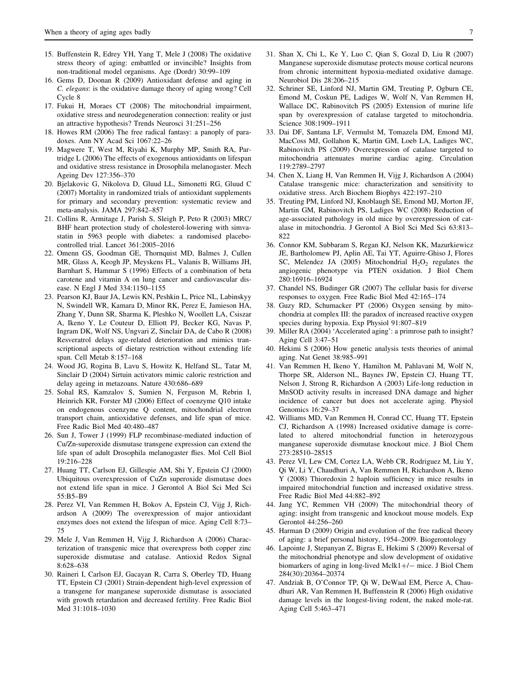- <span id="page-6-0"></span>15. Buffenstein R, Edrey YH, Yang T, Mele J (2008) The oxidative stress theory of aging: embattled or invincible? Insights from non-traditional model organisms. Age (Dordr) 30:99–109
- 16. Gems D, Doonan R (2009) Antioxidant defense and aging in C. elegans: is the oxidative damage theory of aging wrong? Cell Cycle 8
- 17. Fukui H, Moraes CT (2008) The mitochondrial impairment, oxidative stress and neurodegeneration connection: reality or just an attractive hypothesis? Trends Neurosci 31:251–256
- 18. Howes RM (2006) The free radical fantasy: a panoply of paradoxes. Ann NY Acad Sci 1067:22–26
- 19. Magwere T, West M, Riyahi K, Murphy MP, Smith RA, Partridge L (2006) The effects of exogenous antioxidants on lifespan and oxidative stress resistance in Drosophila melanogaster. Mech Ageing Dev 127:356–370
- 20. Bjelakovic G, Nikolova D, Gluud LL, Simonetti RG, Gluud C (2007) Mortality in randomized trials of antioxidant supplements for primary and secondary prevention: systematic review and meta-analysis. JAMA 297:842–857
- 21. Collins R, Armitage J, Parish S, Sleigh P, Peto R (2003) MRC/ BHF heart protection study of cholesterol-lowering with simvastatin in 5963 people with diabetes: a randomised placebocontrolled trial. Lancet 361:2005–2016
- 22. Omenn GS, Goodman GE, Thornquist MD, Balmes J, Cullen MR, Glass A, Keogh JP, Meyskens FL, Valanis B, Williams JH, Barnhart S, Hammar S (1996) Effects of a combination of beta carotene and vitamin A on lung cancer and cardiovascular disease. N Engl J Med 334:1150–1155
- 23. Pearson KJ, Baur JA, Lewis KN, Peshkin L, Price NL, Labinskyy N, Swindell WR, Kamara D, Minor RK, Perez E, Jamieson HA, Zhang Y, Dunn SR, Sharma K, Pleshko N, Woollett LA, Csiszar A, Ikeno Y, Le Couteur D, Elliott PJ, Becker KG, Navas P, Ingram DK, Wolf NS, Ungvari Z, Sinclair DA, de Cabo R (2008) Resveratrol delays age-related deterioration and mimics transcriptional aspects of dietary restriction without extending life span. Cell Metab 8:157–168
- 24. Wood JG, Rogina B, Lavu S, Howitz K, Helfand SL, Tatar M, Sinclair D (2004) Sirtuin activators mimic caloric restriction and delay ageing in metazoans. Nature 430:686–689
- 25. Sohal RS, Kamzalov S, Sumien N, Ferguson M, Rebrin I, Heinrich KR, Forster MJ (2006) Effect of coenzyme Q10 intake on endogenous coenzyme Q content, mitochondrial electron transport chain, antioxidative defenses, and life span of mice. Free Radic Biol Med 40:480–487
- 26. Sun J, Tower J (1999) FLP recombinase-mediated induction of Cu/Zn-superoxide dismutase transgene expression can extend the life span of adult Drosophila melanogaster flies. Mol Cell Biol 19:216–228
- 27. Huang TT, Carlson EJ, Gillespie AM, Shi Y, Epstein CJ (2000) Ubiquitous overexpression of CuZn superoxide dismutase does not extend life span in mice. J Gerontol A Biol Sci Med Sci 55:B5–B9
- 28. Perez VI, Van Remmen H, Bokov A, Epstein CJ, Vijg J, Richardson A (2009) The overexpression of major antioxidant enzymes does not extend the lifespan of mice. Aging Cell 8:73– 75
- 29. Mele J, Van Remmen H, Vijg J, Richardson A (2006) Characterization of transgenic mice that overexpress both copper zinc superoxide dismutase and catalase. Antioxid Redox Signal 8:628–638
- 30. Raineri I, Carlson EJ, Gacayan R, Carra S, Oberley TD, Huang TT, Epstein CJ (2001) Strain-dependent high-level expression of a transgene for manganese superoxide dismutase is associated with growth retardation and decreased fertility. Free Radic Biol Med 31:1018–1030
- 31. Shan X, Chi L, Ke Y, Luo C, Qian S, Gozal D, Liu R (2007) Manganese superoxide dismutase protects mouse cortical neurons from chronic intermittent hypoxia-mediated oxidative damage. Neurobiol Dis 28:206–215
- 32. Schriner SE, Linford NJ, Martin GM, Treuting P, Ogburn CE, Emond M, Coskun PE, Ladiges W, Wolf N, Van Remmen H, Wallace DC, Rabinovitch PS (2005) Extension of murine life span by overexpression of catalase targeted to mitochondria. Science 308:1909–1911
- 33. Dai DF, Santana LF, Vermulst M, Tomazela DM, Emond MJ, MacCoss MJ, Gollahon K, Martin GM, Loeb LA, Ladiges WC, Rabinovitch PS (2009) Overexpression of catalase targeted to mitochondria attenuates murine cardiac aging. Circulation 119:2789–2797
- 34. Chen X, Liang H, Van Remmen H, Vijg J, Richardson A (2004) Catalase transgenic mice: characterization and sensitivity to oxidative stress. Arch Biochem Biophys 422:197–210
- 35. Treuting PM, Linford NJ, Knoblaugh SE, Emond MJ, Morton JF, Martin GM, Rabinovitch PS, Ladiges WC (2008) Reduction of age-associated pathology in old mice by overexpression of catalase in mitochondria. J Gerontol A Biol Sci Med Sci 63:813– 822
- 36. Connor KM, Subbaram S, Regan KJ, Nelson KK, Mazurkiewicz JE, Bartholomew PJ, Aplin AE, Tai YT, Aguirre-Ghiso J, Flores SC, Melendez JA (2005) Mitochondrial  $H_2O_2$  regulates the angiogenic phenotype via PTEN oxidation. J Biol Chem 280:16916–16924
- 37. Chandel NS, Budinger GR (2007) The cellular basis for diverse responses to oxygen. Free Radic Biol Med 42:165–174
- 38. Guzy RD, Schumacker PT (2006) Oxygen sensing by mitochondria at complex III: the paradox of increased reactive oxygen species during hypoxia. Exp Physiol 91:807–819
- 39. Miller RA (2004) 'Accelerated aging': a primrose path to insight? Aging Cell 3:47–51
- 40. Hekimi S (2006) How genetic analysis tests theories of animal aging. Nat Genet 38:985–991
- 41. Van Remmen H, Ikeno Y, Hamilton M, Pahlavani M, Wolf N, Thorpe SR, Alderson NL, Baynes JW, Epstein CJ, Huang TT, Nelson J, Strong R, Richardson A (2003) Life-long reduction in MnSOD activity results in increased DNA damage and higher incidence of cancer but does not accelerate aging. Physiol Genomics 16:29–37
- 42. Williams MD, Van Remmen H, Conrad CC, Huang TT, Epstein CJ, Richardson A (1998) Increased oxidative damage is correlated to altered mitochondrial function in heterozygous manganese superoxide dismutase knockout mice. J Biol Chem 273:28510–28515
- 43. Perez VI, Lew CM, Cortez LA, Webb CR, Rodriguez M, Liu Y, Qi W, Li Y, Chaudhuri A, Van Remmen H, Richardson A, Ikeno Y (2008) Thioredoxin 2 haploin sufficiency in mice results in impaired mitochondrial function and increased oxidative stress. Free Radic Biol Med 44:882–892
- 44. Jang YC, Remmen VH (2009) The mitochondrial theory of aging: insight from transgenic and knockout mouse models. Exp Gerontol 44:256–260
- 45. Harman D (2009) Origin and evolution of the free radical theory of aging: a brief personal history, 1954–2009. Biogerontology
- 46. Lapointe J, Stepanyan Z, Bigras E, Hekimi S (2009) Reversal of the mitochondrial phenotype and slow development of oxidative biomarkers of aging in long-lived Mclk1+/- mice. J Biol Chem 284(30):20364–20374
- 47. Andziak B, O'Connor TP, Qi W, DeWaal EM, Pierce A, Chaudhuri AR, Van Remmen H, Buffenstein R (2006) High oxidative damage levels in the longest-living rodent, the naked mole-rat. Aging Cell 5:463–471